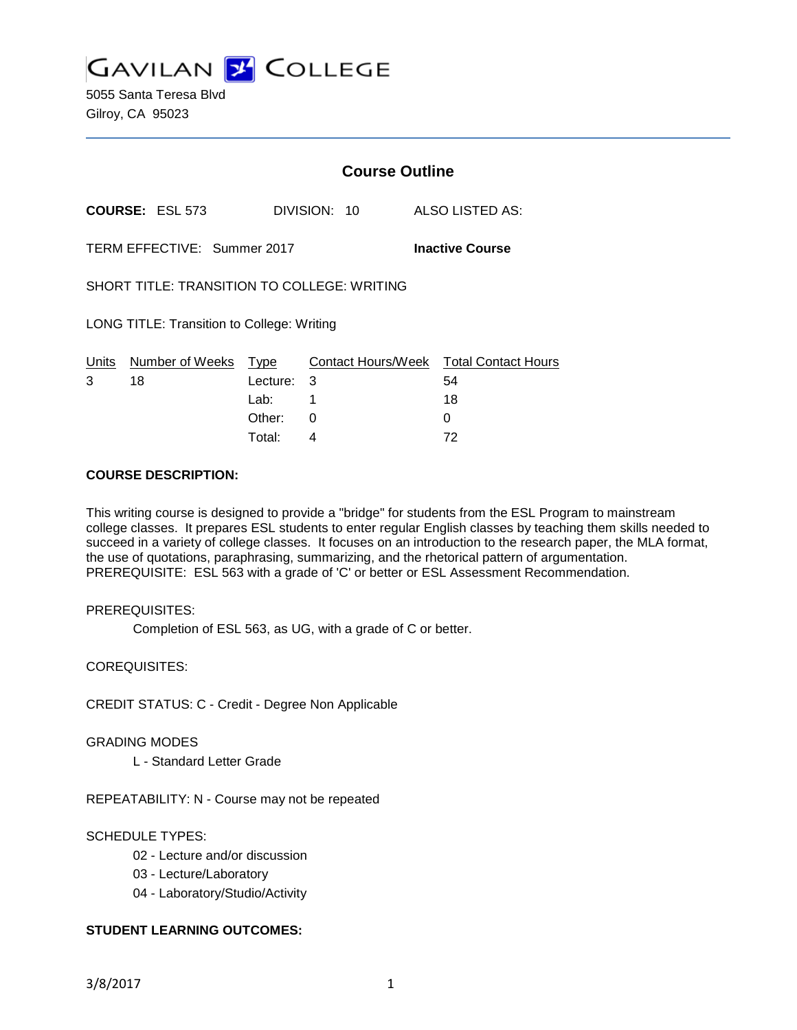**GAVILAN 2 COLLEGE** 

5055 Santa Teresa Blvd Gilroy, CA 95023

|                                                    |                             | <b>Course Outline</b> |              |                        |  |                            |  |  |
|----------------------------------------------------|-----------------------------|-----------------------|--------------|------------------------|--|----------------------------|--|--|
|                                                    | <b>COURSE: ESL 573</b>      |                       | DIVISION: 10 |                        |  | ALSO LISTED AS:            |  |  |
|                                                    | TERM EFFECTIVE: Summer 2017 |                       |              | <b>Inactive Course</b> |  |                            |  |  |
| <b>SHORT TITLE: TRANSITION TO COLLEGE: WRITING</b> |                             |                       |              |                        |  |                            |  |  |
| LONG TITLE: Transition to College: Writing         |                             |                       |              |                        |  |                            |  |  |
| Units                                              | Number of Weeks             | Type                  |              | Contact Hours/Week     |  | <b>Total Contact Hours</b> |  |  |
| 3                                                  | 18                          | Lecture:              | 3            |                        |  | 54                         |  |  |
|                                                    |                             | Lab:                  |              |                        |  | 18                         |  |  |
|                                                    |                             | Other:                | 0            |                        |  | 0                          |  |  |

Total: 4 72

#### **COURSE DESCRIPTION:**

This writing course is designed to provide a "bridge" for students from the ESL Program to mainstream college classes. It prepares ESL students to enter regular English classes by teaching them skills needed to succeed in a variety of college classes. It focuses on an introduction to the research paper, the MLA format, the use of quotations, paraphrasing, summarizing, and the rhetorical pattern of argumentation. PREREQUISITE: ESL 563 with a grade of 'C' or better or ESL Assessment Recommendation.

#### PREREQUISITES:

Completion of ESL 563, as UG, with a grade of C or better.

COREQUISITES:

CREDIT STATUS: C - Credit - Degree Non Applicable

#### GRADING MODES

L - Standard Letter Grade

REPEATABILITY: N - Course may not be repeated

# SCHEDULE TYPES:

- 02 Lecture and/or discussion
- 03 Lecture/Laboratory
- 04 Laboratory/Studio/Activity

# **STUDENT LEARNING OUTCOMES:**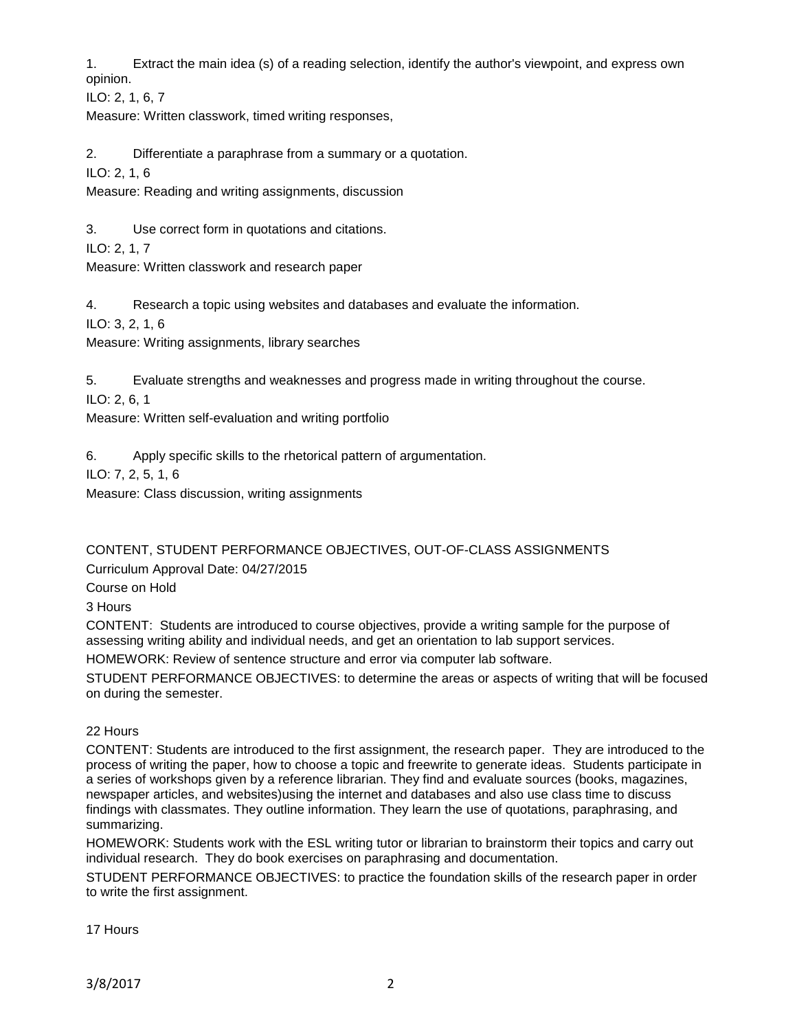1. Extract the main idea (s) of a reading selection, identify the author's viewpoint, and express own opinion.

ILO: 2, 1, 6, 7

Measure: Written classwork, timed writing responses,

2. Differentiate a paraphrase from a summary or a quotation.

ILO: 2, 1, 6

Measure: Reading and writing assignments, discussion

3. Use correct form in quotations and citations.

ILO: 2, 1, 7

Measure: Written classwork and research paper

4. Research a topic using websites and databases and evaluate the information.

ILO: 3, 2, 1, 6

Measure: Writing assignments, library searches

5. Evaluate strengths and weaknesses and progress made in writing throughout the course.

ILO: 2, 6, 1

Measure: Written self-evaluation and writing portfolio

6. Apply specific skills to the rhetorical pattern of argumentation.

ILO: 7, 2, 5, 1, 6

Measure: Class discussion, writing assignments

CONTENT, STUDENT PERFORMANCE OBJECTIVES, OUT-OF-CLASS ASSIGNMENTS

Curriculum Approval Date: 04/27/2015

Course on Hold

3 Hours

CONTENT: Students are introduced to course objectives, provide a writing sample for the purpose of assessing writing ability and individual needs, and get an orientation to lab support services.

HOMEWORK: Review of sentence structure and error via computer lab software.

STUDENT PERFORMANCE OBJECTIVES: to determine the areas or aspects of writing that will be focused on during the semester.

## 22 Hours

CONTENT: Students are introduced to the first assignment, the research paper. They are introduced to the process of writing the paper, how to choose a topic and freewrite to generate ideas. Students participate in a series of workshops given by a reference librarian. They find and evaluate sources (books, magazines, newspaper articles, and websites)using the internet and databases and also use class time to discuss findings with classmates. They outline information. They learn the use of quotations, paraphrasing, and summarizing.

HOMEWORK: Students work with the ESL writing tutor or librarian to brainstorm their topics and carry out individual research. They do book exercises on paraphrasing and documentation.

STUDENT PERFORMANCE OBJECTIVES: to practice the foundation skills of the research paper in order to write the first assignment.

17 Hours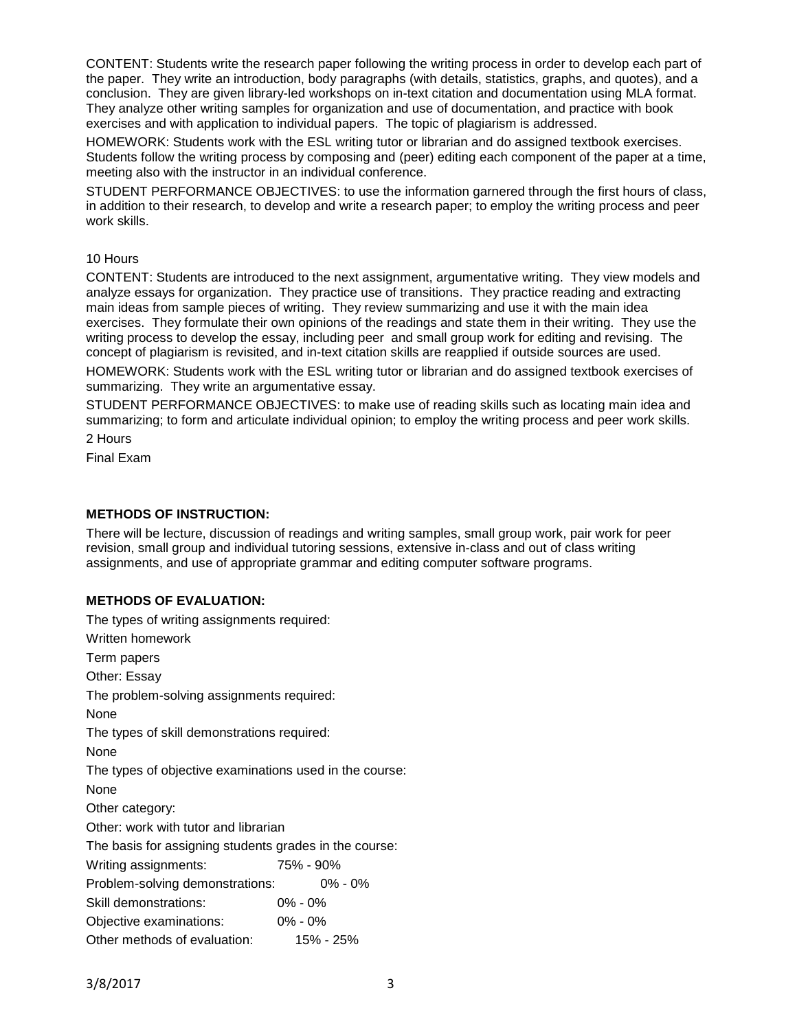CONTENT: Students write the research paper following the writing process in order to develop each part of the paper. They write an introduction, body paragraphs (with details, statistics, graphs, and quotes), and a conclusion. They are given library-led workshops on in-text citation and documentation using MLA format. They analyze other writing samples for organization and use of documentation, and practice with book exercises and with application to individual papers. The topic of plagiarism is addressed.

HOMEWORK: Students work with the ESL writing tutor or librarian and do assigned textbook exercises. Students follow the writing process by composing and (peer) editing each component of the paper at a time, meeting also with the instructor in an individual conference.

STUDENT PERFORMANCE OBJECTIVES: to use the information garnered through the first hours of class, in addition to their research, to develop and write a research paper; to employ the writing process and peer work skills.

# 10 Hours

CONTENT: Students are introduced to the next assignment, argumentative writing. They view models and analyze essays for organization. They practice use of transitions. They practice reading and extracting main ideas from sample pieces of writing. They review summarizing and use it with the main idea exercises. They formulate their own opinions of the readings and state them in their writing. They use the writing process to develop the essay, including peer and small group work for editing and revising. The concept of plagiarism is revisited, and in-text citation skills are reapplied if outside sources are used.

HOMEWORK: Students work with the ESL writing tutor or librarian and do assigned textbook exercises of summarizing. They write an argumentative essay.

STUDENT PERFORMANCE OBJECTIVES: to make use of reading skills such as locating main idea and summarizing; to form and articulate individual opinion; to employ the writing process and peer work skills.

2 Hours

Final Exam

# **METHODS OF INSTRUCTION:**

There will be lecture, discussion of readings and writing samples, small group work, pair work for peer revision, small group and individual tutoring sessions, extensive in-class and out of class writing assignments, and use of appropriate grammar and editing computer software programs.

## **METHODS OF EVALUATION:**

| The types of writing assignments required:              |             |
|---------------------------------------------------------|-------------|
| Written homework                                        |             |
| Term papers                                             |             |
| Other: Essay                                            |             |
| The problem-solving assignments required:               |             |
| None                                                    |             |
| The types of skill demonstrations required:             |             |
| None                                                    |             |
| The types of objective examinations used in the course: |             |
| None                                                    |             |
| Other category:                                         |             |
| Other: work with tutor and librarian                    |             |
| The basis for assigning students grades in the course:  |             |
| Writing assignments:                                    | 75% - 90%   |
| Problem-solving demonstrations:                         | $0\% - 0\%$ |
| Skill demonstrations:                                   | $0\% - 0\%$ |
| Objective examinations:                                 | $0\% - 0\%$ |
| Other methods of evaluation:                            | 15% - 25%   |
|                                                         |             |